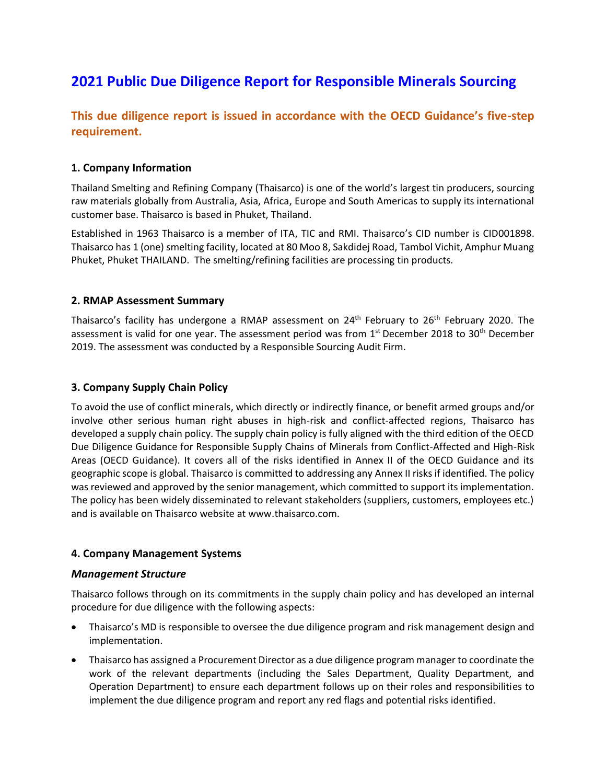# **2021 Public Due Diligence Report for Responsible Minerals Sourcing**

## **This due diligence report is issued in accordance with the OECD Guidance's five-step requirement.**

## **1. Company Information**

Thailand Smelting and Refining Company (Thaisarco) is one of the world's largest tin producers, sourcing raw materials globally from Australia, Asia, Africa, Europe and South Americas to supply its international customer base. Thaisarco is based in Phuket, Thailand.

Established in 1963 Thaisarco is a member of ITA, TIC and RMI. Thaisarco's CID number is CID001898. Thaisarco has 1 (one) smelting facility, located at 80 Moo 8, Sakdidej Road, Tambol Vichit, Amphur Muang Phuket, Phuket THAILAND. The smelting/refining facilities are processing tin products*.*

## **2. RMAP Assessment Summary**

Thaisarco's facility has undergone a RMAP assessment on 24<sup>th</sup> February to 26<sup>th</sup> February 2020. The assessment is valid for one year. The assessment period was from 1<sup>st</sup> December 2018 to 30<sup>th</sup> December 2019. The assessment was conducted by a Responsible Sourcing Audit Firm.

## **3. Company Supply Chain Policy**

To avoid the use of conflict minerals, which directly or indirectly finance, or benefit armed groups and/or involve other serious human right abuses in high-risk and conflict-affected regions, Thaisarco has developed a supply chain policy. The supply chain policy is fully aligned with the third edition of the OECD Due Diligence Guidance for Responsible Supply Chains of Minerals from Conflict-Affected and High-Risk Areas (OECD Guidance). It covers all of the risks identified in Annex II of the OECD Guidance and its geographic scope is global. Thaisarco is committed to addressing any Annex II risks if identified. The policy was reviewed and approved by the senior management, which committed to support its implementation. The policy has been widely disseminated to relevant stakeholders (suppliers, customers, employees etc.) and is available on Thaisarco website at www.thaisarco.com.

## **4. Company Management Systems**

#### *Management Structure*

Thaisarco follows through on its commitments in the supply chain policy and has developed an internal procedure for due diligence with the following aspects:

- Thaisarco's MD is responsible to oversee the due diligence program and risk management design and implementation.
- Thaisarco has assigned a Procurement Director as a due diligence program manager to coordinate the work of the relevant departments (including the Sales Department, Quality Department, and Operation Department) to ensure each department follows up on their roles and responsibilities to implement the due diligence program and report any red flags and potential risks identified.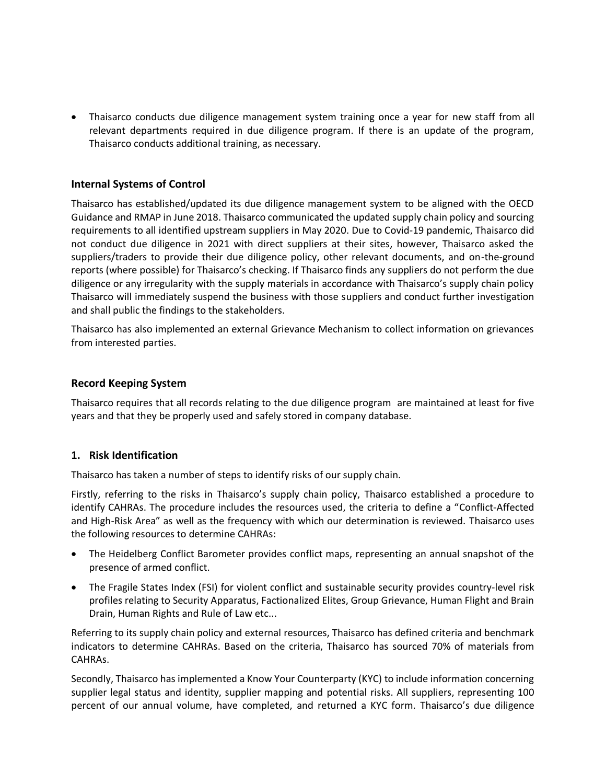• Thaisarco conducts due diligence management system training once a year for new staff from all relevant departments required in due diligence program. If there is an update of the program, Thaisarco conducts additional training, as necessary.

## **Internal Systems of Control**

Thaisarco has established/updated its due diligence management system to be aligned with the OECD Guidance and RMAP in June 2018. Thaisarco communicated the updated supply chain policy and sourcing requirements to all identified upstream suppliers in May 2020. Due to Covid-19 pandemic, Thaisarco did not conduct due diligence in 2021 with direct suppliers at their sites, however, Thaisarco asked the suppliers/traders to provide their due diligence policy, other relevant documents, and on-the-ground reports (where possible) for Thaisarco's checking. If Thaisarco finds any suppliers do not perform the due diligence or any irregularity with the supply materials in accordance with Thaisarco's supply chain policy Thaisarco will immediately suspend the business with those suppliers and conduct further investigation and shall public the findings to the stakeholders.

Thaisarco has also implemented an external Grievance Mechanism to collect information on grievances from interested parties.

## **Record Keeping System**

Thaisarco requires that all records relating to the due diligence program are maintained at least for five years and that they be properly used and safely stored in company database.

## **1. Risk Identification**

Thaisarco has taken a number of steps to identify risks of our supply chain.

Firstly, referring to the risks in Thaisarco's supply chain policy, Thaisarco established a procedure to identify CAHRAs. The procedure includes the resources used, the criteria to define a "Conflict-Affected and High-Risk Area" as well as the frequency with which our determination is reviewed. Thaisarco uses the following resources to determine CAHRAs:

- The Heidelberg Conflict Barometer provides conflict maps, representing an annual snapshot of the presence of armed conflict.
- The Fragile States Index (FSI) for violent conflict and sustainable security provides country-level risk profiles relating to Security Apparatus, Factionalized Elites, Group Grievance, Human Flight and Brain Drain, Human Rights and Rule of Law etc...

Referring to its supply chain policy and external resources, Thaisarco has defined criteria and benchmark indicators to determine CAHRAs. Based on the criteria, Thaisarco has sourced 70% of materials from CAHRAs.

Secondly, Thaisarco has implemented a Know Your Counterparty (KYC) to include information concerning supplier legal status and identity, supplier mapping and potential risks. All suppliers, representing 100 percent of our annual volume, have completed, and returned a KYC form. Thaisarco's due diligence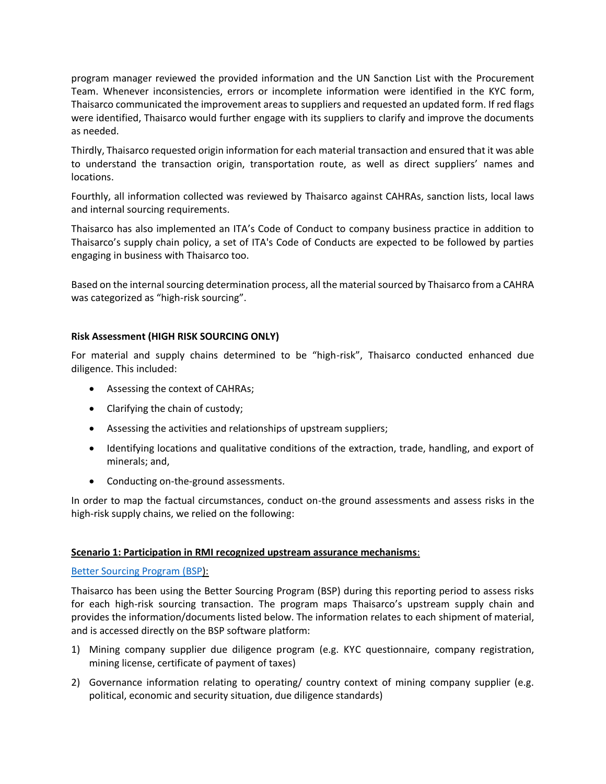program manager reviewed the provided information and the UN Sanction List with the Procurement Team. Whenever inconsistencies, errors or incomplete information were identified in the KYC form, Thaisarco communicated the improvement areas to suppliers and requested an updated form. If red flags were identified, Thaisarco would further engage with its suppliers to clarify and improve the documents as needed.

Thirdly, Thaisarco requested origin information for each material transaction and ensured that it was able to understand the transaction origin, transportation route, as well as direct suppliers' names and locations.

Fourthly, all information collected was reviewed by Thaisarco against CAHRAs, sanction lists, local laws and internal sourcing requirements.

Thaisarco has also implemented an ITA's Code of Conduct to company business practice in addition to Thaisarco's supply chain policy, a set of ITA's Code of Conducts are expected to be followed by parties engaging in business with Thaisarco too.

Based on the internal sourcing determination process, all the material sourced by Thaisarco from a CAHRA was categorized as "high-risk sourcing".

## **Risk Assessment (HIGH RISK SOURCING ONLY)**

For material and supply chains determined to be "high-risk", Thaisarco conducted enhanced due diligence. This included:

- Assessing the context of CAHRAs;
- Clarifying the chain of custody;
- Assessing the activities and relationships of upstream suppliers;
- Identifying locations and qualitative conditions of the extraction, trade, handling, and export of minerals; and,
- Conducting on-the-ground assessments.

In order to map the factual circumstances, conduct on-the ground assessments and assess risks in the high-risk supply chains, we relied on the following:

#### **Scenario 1: Participation in RMI recognized upstream assurance mechanisms**:

#### [Better Sourcing Program](https://bettersourcing.io/) (BSP):

Thaisarco has been using the Better Sourcing Program (BSP) during this reporting period to assess risks for each high-risk sourcing transaction. The program maps Thaisarco's upstream supply chain and provides the information/documents listed below. The information relates to each shipment of material, and is accessed directly on the BSP software platform:

- 1) Mining company supplier due diligence program (e.g. KYC questionnaire, company registration, mining license, certificate of payment of taxes)
- 2) Governance information relating to operating/ country context of mining company supplier (e.g. political, economic and security situation, due diligence standards)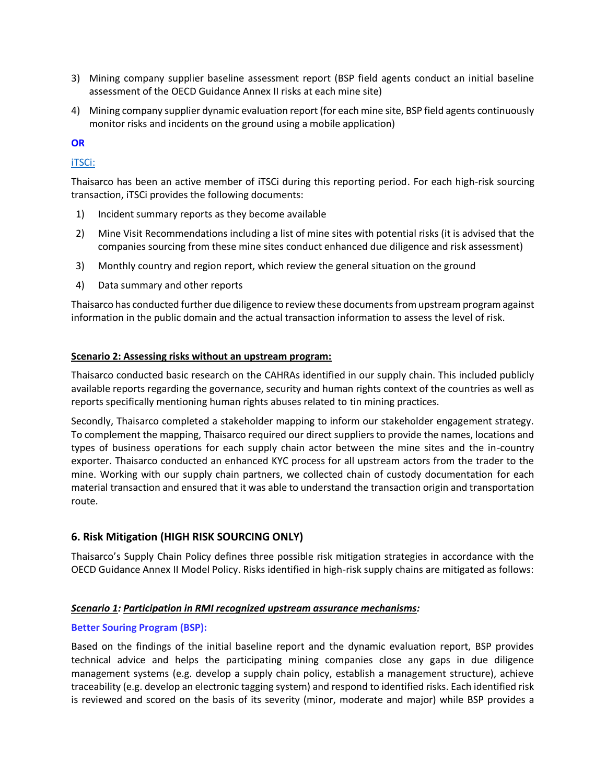- 3) Mining company supplier baseline assessment report (BSP field agents conduct an initial baseline assessment of the OECD Guidance Annex II risks at each mine site)
- 4) Mining company supplier dynamic evaluation report (for each mine site, BSP field agents continuously monitor risks and incidents on the ground using a mobile application)

## **OR**

## [iTSCi:](http://www.itri.co.uk/)

Thaisarco has been an active member of iTSCi during this reporting period. For each high-risk sourcing transaction, iTSCi provides the following documents:

- 1) Incident summary reports as they become available
- 2) Mine Visit Recommendations including a list of mine sites with potential risks (it is advised that the companies sourcing from these mine sites conduct enhanced due diligence and risk assessment)
- 3) Monthly country and region report, which review the general situation on the ground
- 4) Data summary and other reports

Thaisarco has conducted further due diligence to review these documents from upstream program against information in the public domain and the actual transaction information to assess the level of risk.

#### **Scenario 2: Assessing risks without an upstream program:**

Thaisarco conducted basic research on the CAHRAs identified in our supply chain. This included publicly available reports regarding the governance, security and human rights context of the countries as well as reports specifically mentioning human rights abuses related to tin mining practices.

Secondly, Thaisarco completed a stakeholder mapping to inform our stakeholder engagement strategy. To complement the mapping, Thaisarco required our direct suppliers to provide the names, locations and types of business operations for each supply chain actor between the mine sites and the in-country exporter. Thaisarco conducted an enhanced KYC process for all upstream actors from the trader to the mine. Working with our supply chain partners, we collected chain of custody documentation for each material transaction and ensured that it was able to understand the transaction origin and transportation route.

## **6. Risk Mitigation (HIGH RISK SOURCING ONLY)**

Thaisarco's Supply Chain Policy defines three possible risk mitigation strategies in accordance with the OECD Guidance Annex II Model Policy. Risks identified in high-risk supply chains are mitigated as follows:

#### *Scenario 1: Participation in RMI recognized upstream assurance mechanisms:*

## **Better Souring Program (BSP):**

Based on the findings of the initial baseline report and the dynamic evaluation report, BSP provides technical advice and helps the participating mining companies close any gaps in due diligence management systems (e.g. develop a supply chain policy, establish a management structure), achieve traceability (e.g. develop an electronic tagging system) and respond to identified risks. Each identified risk is reviewed and scored on the basis of its severity (minor, moderate and major) while BSP provides a